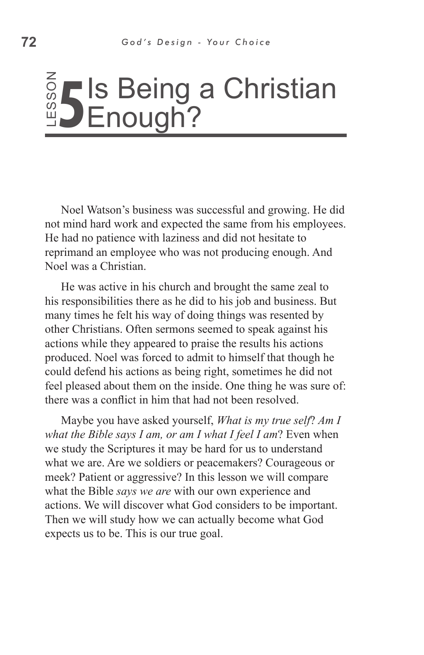## ss o **5 I**s Being a Christian<br><u>"DEnough?</u> Enough?

Noel Watson's business was successful and growing. He did not mind hard work and expected the same from his employees. He had no patience with laziness and did not hesitate to reprimand an employee who was not producing enough. And Noel was a Christian.

He was active in his church and brought the same zeal to his responsibilities there as he did to his job and business. But many times he felt his way of doing things was resented by other Christians. Often sermons seemed to speak against his actions while they appeared to praise the results his actions produced. Noel was forced to admit to himself that though he could defend his actions as being right, sometimes he did not feel pleased about them on the inside. One thing he was sure of: there was a conflict in him that had not been resolved. **ENDUCITY:**<br>
Notel Watson's business was succe<br>
not mind hard work and expected the<br>
He had no patience with laziness and<br>
reprimand an employee who was not  $\mu$ <br>
Notel was a Christian.<br>
He was active in his church and br

Maybe you have asked yourself, *What is my true self*? *Am I what the Bible says I am, or am I what I feel I am*? Even when we study the Scriptures it may be hard for us to understand what we are. Are we soldiers or peacemakers? Courageous or meek? Patient or aggressive? In this lesson we will compare what the Bible *says we are* with our own experience and actions. We will discover what God considers to be important. Then we will study how we can actually become what God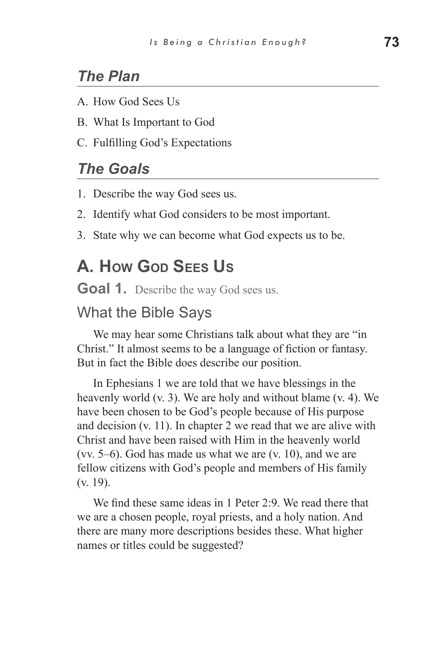## *The Plan*

- A. How God Sees Us
- B. What Is Important to God
- C. Fulfilling God's Expectations

### *The Goals*

- 1. Describe the way God sees us.
- 2. Identify what God considers to be most important.
- 3. State why we can become what God expects us to be.

## **A. How God Sees Us**

**Goal 1.** Describe the way God sees us.

#### What the Bible Says

We may hear some Christians talk about what they are "in Christ." It almost seems to be a language of fiction or fantasy. But in fact the Bible does describe our position.

In Ephesians 1 we are told that we have blessings in the heavenly world (v. 3). We are holy and without blame (v. 4). We have been chosen to be God's people because of His purpose and decision (v. 11). In chapter 2 we read that we are alive with Christ and have been raised with Him in the heavenly world (vv. 5–6). God has made us what we are (v. 10), and we are fellow citizens with God's people and members of His family (v. 19).

We find these same ideas in 1 Peter 2:9. We read there that we are a chosen people, royal priests, and a holy nation. And there are many more descriptions besides these. What higher names or titles could be suggested?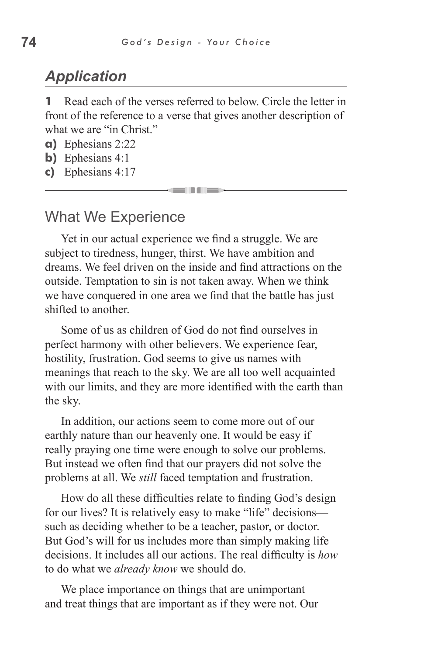## *Application*

**1** Read each of the verses referred to below. Circle the letter in front of the reference to a verse that gives another description of what we are "in Christ."

- **a)** Ephesians 2:22
- **b)** Ephesians 4:1
- **c)** Ephesians 4:17

#### What We Experience

Yet in our actual experience we find a struggle. We are subject to tiredness, hunger, thirst. We have ambition and dreams. We feel driven on the inside and find attractions on the outside. Temptation to sin is not taken away. When we think we have conquered in one area we find that the battle has just shifted to another.

Some of us as children of God do not find ourselves in perfect harmony with other believers. We experience fear, hostility, frustration. God seems to give us names with meanings that reach to the sky. We are all too well acquainted with our limits, and they are more identified with the earth than the sky.

In addition, our actions seem to come more out of our earthly nature than our heavenly one. It would be easy if really praying one time were enough to solve our problems. But instead we often find that our prayers did not solve the problems at all. We *still* faced temptation and frustration.

How do all these difficulties relate to finding God's design for our lives? It is relatively easy to make "life" decisions such as deciding whether to be a teacher, pastor, or doctor. But God's will for us includes more than simply making life decisions. It includes all our actions. The real difficulty is *how*  to do what we *already know* we should do.

We place importance on things that are unimportant and treat things that are important as if they were not. Our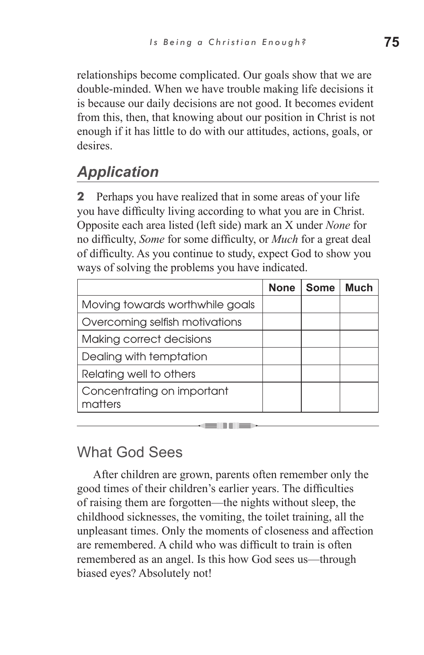relationships become complicated. Our goals show that we are double-minded. When we have trouble making life decisions it is because our daily decisions are not good. It becomes evident from this, then, that knowing about our position in Christ is not enough if it has little to do with our attitudes, actions, goals, or **desires** 

# *Application*

**2** Perhaps you have realized that in some areas of your life you have difficulty living according to what you are in Christ. Opposite each area listed (left side) mark an X under *None* for no difficulty, *Some* for some difficulty, or *Much* for a great deal of difficulty. As you continue to study, expect God to show you ways of solving the problems you have indicated.

|                                       | <b>None</b> | Some | Much |
|---------------------------------------|-------------|------|------|
| Moving towards worthwhile goals       |             |      |      |
| Overcoming selfish motivations        |             |      |      |
| Making correct decisions              |             |      |      |
| Dealing with temptation               |             |      |      |
| Relating well to others               |             |      |      |
| Concentrating on important<br>matters |             |      |      |

## What God Sees

After children are grown, parents often remember only the good times of their children's earlier years. The difficulties of raising them are forgotten—the nights without sleep, the childhood sicknesses, the vomiting, the toilet training, all the unpleasant times. Only the moments of closeness and affection are remembered. A child who was difficult to train is often remembered as an angel. Is this how God sees us—through biased eyes? Absolutely not!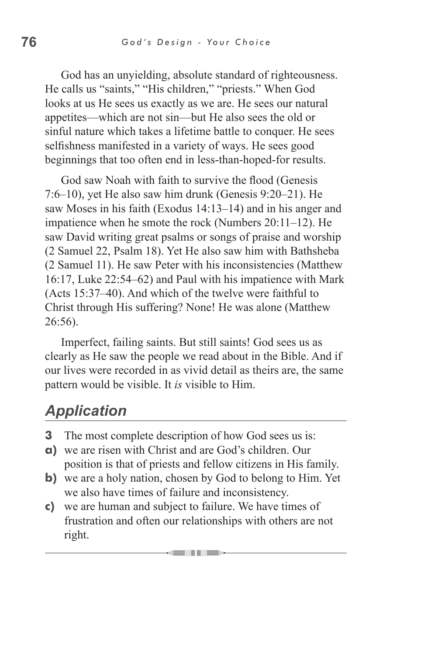God has an unyielding, absolute standard of righteousness. He calls us "saints," "His children," "priests." When God looks at us He sees us exactly as we are. He sees our natural appetites—which are not sin—but He also sees the old or sinful nature which takes a lifetime battle to conquer. He sees selfishness manifested in a variety of ways. He sees good beginnings that too often end in less-than-hoped-for results.

God saw Noah with faith to survive the flood (Genesis 7:6–10), yet He also saw him drunk (Genesis 9:20–21). He saw Moses in his faith (Exodus 14:13–14) and in his anger and impatience when he smote the rock (Numbers 20:11–12). He saw David writing great psalms or songs of praise and worship (2 Samuel 22, Psalm 18). Yet He also saw him with Bathsheba (2 Samuel 11). He saw Peter with his inconsistencies (Matthew 16:17, Luke 22:54–62) and Paul with his impatience with Mark (Acts 15:37–40). And which of the twelve were faithful to Christ through His suffering? None! He was alone (Matthew 26:56).

Imperfect, failing saints. But still saints! God sees us as clearly as He saw the people we read about in the Bible. And if our lives were recorded in as vivid detail as theirs are, the same pattern would be visible. It *is* visible to Him.

# *Application*

- **3** The most complete description of how God sees us is:
- **a)** we are risen with Christ and are God's children. Our position is that of priests and fellow citizens in His family.
- **b**) we are a holy nation, chosen by God to belong to Him. Yet we also have times of failure and inconsistency.
- **c)** we are human and subject to failure. We have times of frustration and often our relationships with others are not right.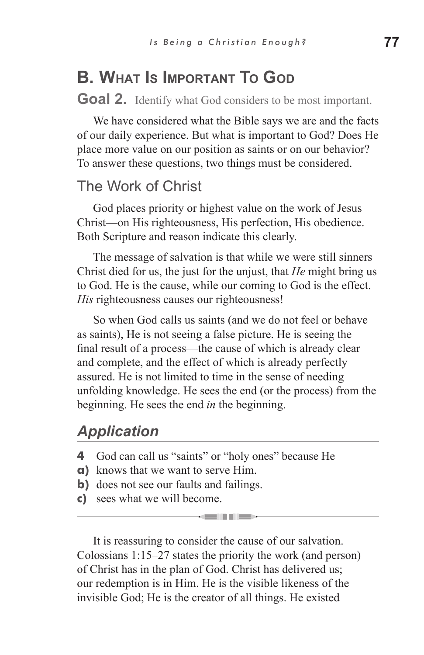# **B. What Is Important To God**

**Goal 2.** Identify what God considers to be most important.

We have considered what the Bible says we are and the facts of our daily experience. But what is important to God? Does He place more value on our position as saints or on our behavior? To answer these questions, two things must be considered.

### The Work of Christ

God places priority or highest value on the work of Jesus Christ—on His righteousness, His perfection, His obedience. Both Scripture and reason indicate this clearly.

The message of salvation is that while we were still sinners Christ died for us, the just for the unjust, that *He* might bring us to God. He is the cause, while our coming to God is the effect. *His* righteousness causes our righteousness!

So when God calls us saints (and we do not feel or behave as saints), He is not seeing a false picture. He is seeing the final result of a process—the cause of which is already clear and complete, and the effect of which is already perfectly assured. He is not limited to time in the sense of needing unfolding knowledge. He sees the end (or the process) from the beginning. He sees the end *in* the beginning.

## *Application*

- **4** God can call us "saints" or "holy ones" because He
- **a)** knows that we want to serve Him.
- **b**) does not see our faults and failings.
- **c)** sees what we will become.

It is reassuring to consider the cause of our salvation. Colossians 1:15–27 states the priority the work (and person) of Christ has in the plan of God. Christ has delivered us; our redemption is in Him. He is the visible likeness of the invisible God; He is the creator of all things. He existed

k semanju politič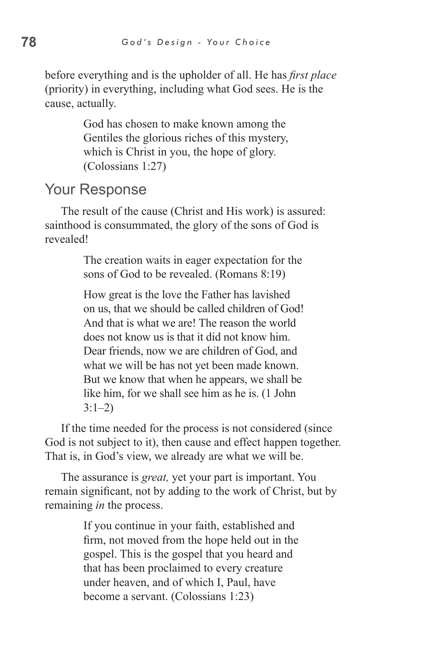before everything and is the upholder of all. He has *first place* (priority) in everything, including what God sees. He is the cause, actually.

> God has chosen to make known among the Gentiles the glorious riches of this mystery, which is Christ in you, the hope of glory. (Colossians 1:27)

#### Your Response

The result of the cause (Christ and His work) is assured: sainthood is consummated, the glory of the sons of God is revealed!

> The creation waits in eager expectation for the sons of God to be revealed. (Romans 8:19)

How great is the love the Father has lavished on us, that we should be called children of God! And that is what we are! The reason the world does not know us is that it did not know him. Dear friends, now we are children of God, and what we will be has not yet been made known. But we know that when he appears, we shall be like him, for we shall see him as he is. (1 John  $3:1-2)$ 

If the time needed for the process is not considered (since God is not subject to it), then cause and effect happen together. That is, in God's view, we already are what we will be.

The assurance is *great,* yet your part is important. You remain significant, not by adding to the work of Christ, but by remaining *in* the process.

> If you continue in your faith, established and firm, not moved from the hope held out in the gospel. This is the gospel that you heard and that has been proclaimed to every creature under heaven, and of which I, Paul, have become a servant. (Colossians 1:23)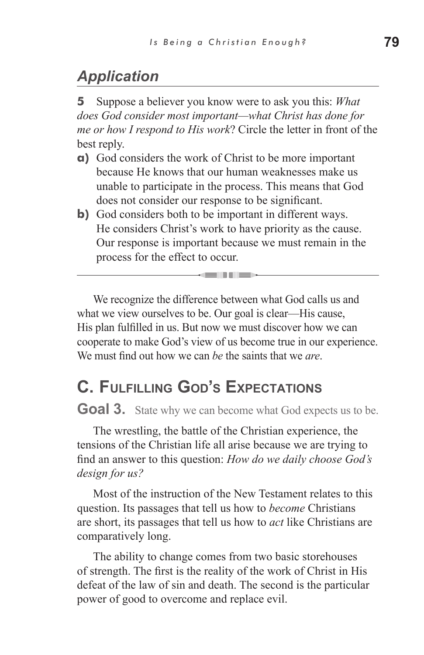# *Application*

**5** Suppose a believer you know were to ask you this: *What does God consider most important—what Christ has done for me or how I respond to His work*? Circle the letter in front of the best reply.

- **a)** God considers the work of Christ to be more important because He knows that our human weaknesses make us unable to participate in the process. This means that God does not consider our response to be significant.
- **b**) God considers both to be important in different ways. He considers Christ's work to have priority as the cause. Our response is important because we must remain in the process for the effect to occur.

We recognize the difference between what God calls us and what we view ourselves to be. Our goal is clear—His cause, His plan fulfilled in us. But now we must discover how we can cooperate to make God's view of us become true in our experience. We must find out how we can *be* the saints that we *are*.

all dies

# **C. Fulfilling God's Expectations**

**Goal 3.** State why we can become what God expects us to be.

The wrestling, the battle of the Christian experience, the tensions of the Christian life all arise because we are trying to find an answer to this question: *How do we daily choose God's design for us?*

Most of the instruction of the New Testament relates to this question. Its passages that tell us how to *become* Christians are short, its passages that tell us how to *act* like Christians are comparatively long.

The ability to change comes from two basic storehouses of strength. The first is the reality of the work of Christ in His defeat of the law of sin and death. The second is the particular power of good to overcome and replace evil.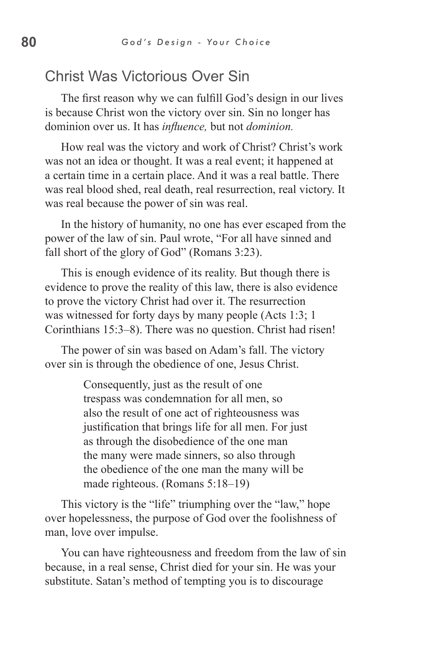## Christ Was Victorious Over Sin

The first reason why we can fulfill God's design in our lives is because Christ won the victory over sin. Sin no longer has dominion over us. It has *influence,* but not *dominion.*

How real was the victory and work of Christ? Christ's work was not an idea or thought. It was a real event; it happened at a certain time in a certain place. And it was a real battle. There was real blood shed, real death, real resurrection, real victory. It was real because the power of sin was real.

In the history of humanity, no one has ever escaped from the power of the law of sin. Paul wrote, "For all have sinned and fall short of the glory of God" (Romans 3:23).

This is enough evidence of its reality. But though there is evidence to prove the reality of this law, there is also evidence to prove the victory Christ had over it. The resurrection was witnessed for forty days by many people (Acts 1:3; 1 Corinthians 15:3–8). There was no question. Christ had risen!

The power of sin was based on Adam's fall. The victory over sin is through the obedience of one, Jesus Christ.

> Consequently, just as the result of one trespass was condemnation for all men, so also the result of one act of righteousness was justification that brings life for all men. For just as through the disobedience of the one man the many were made sinners, so also through the obedience of the one man the many will be made righteous. (Romans 5:18–19)

This victory is the "life" triumphing over the "law," hope over hopelessness, the purpose of God over the foolishness of man, love over impulse.

You can have righteousness and freedom from the law of sin because, in a real sense, Christ died for your sin. He was your substitute. Satan's method of tempting you is to discourage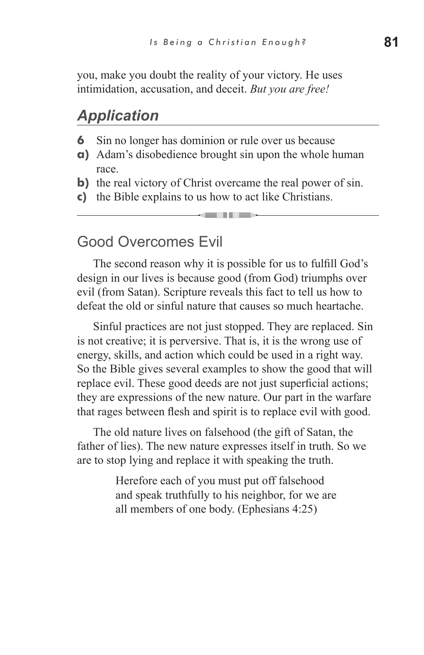you, make you doubt the reality of your victory. He uses intimidation, accusation, and deceit. *But you are free!*

#### *Application*

- **6** Sin no longer has dominion or rule over us because
- **a)** Adam's disobedience brought sin upon the whole human race.
- **b**) the real victory of Christ overcame the real power of sin.
- **c)** the Bible explains to us how to act like Christians.

## Good Overcomes Evil

The second reason why it is possible for us to fulfill God's design in our lives is because good (from God) triumphs over evil (from Satan). Scripture reveals this fact to tell us how to defeat the old or sinful nature that causes so much heartache.

Sinful practices are not just stopped. They are replaced. Sin is not creative; it is perversive. That is, it is the wrong use of energy, skills, and action which could be used in a right way. So the Bible gives several examples to show the good that will replace evil. These good deeds are not just superficial actions; they are expressions of the new nature. Our part in the warfare that rages between flesh and spirit is to replace evil with good.

The old nature lives on falsehood (the gift of Satan, the father of lies). The new nature expresses itself in truth. So we are to stop lying and replace it with speaking the truth.

> Herefore each of you must put off falsehood and speak truthfully to his neighbor, for we are all members of one body. (Ephesians 4:25)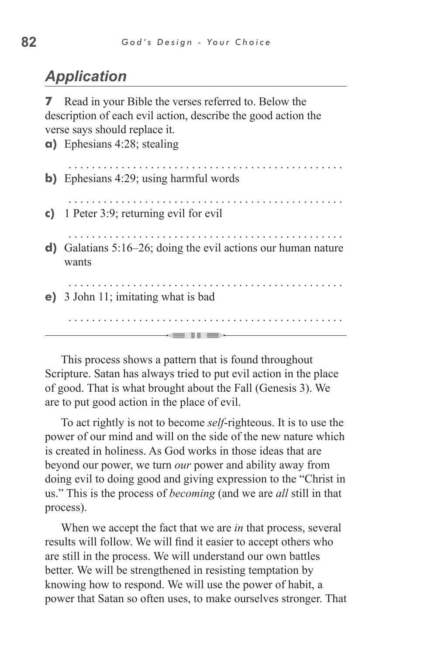# *Application*

**a)** Ephesians 4:28; stealing

**7** Read in your Bible the verses referred to. Below the description of each evil action, describe the good action the verse says should replace it.

| $\mathbf{u}_l$ Library $\pi$ . 20, steaming                               |
|---------------------------------------------------------------------------|
| <b>b)</b> Ephesians 4:29; using harmful words                             |
| c) 1 Peter 3:9; returning evil for evil                                   |
| d) Galatians $5:16-26$ ; doing the evil actions our human nature<br>wants |
| e) 3 John 11; imitating what is bad                                       |
|                                                                           |

This process shows a pattern that is found throughout Scripture. Satan has always tried to put evil action in the place of good. That is what brought about the Fall (Genesis 3). We are to put good action in the place of evil.

To act rightly is not to become *self*-righteous. It is to use the power of our mind and will on the side of the new nature which is created in holiness. As God works in those ideas that are beyond our power, we turn *our* power and ability away from doing evil to doing good and giving expression to the "Christ in us." This is the process of *becoming* (and we are *all* still in that process).

When we accept the fact that we are *in* that process, several results will follow. We will find it easier to accept others who are still in the process. We will understand our own battles better. We will be strengthened in resisting temptation by knowing how to respond. We will use the power of habit, a power that Satan so often uses, to make ourselves stronger. That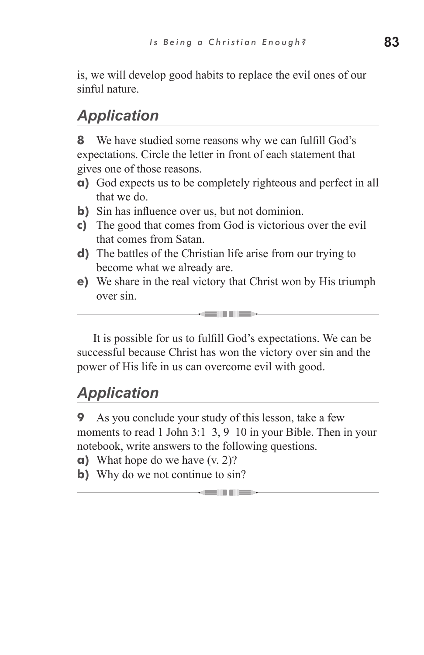is, we will develop good habits to replace the evil ones of our sinful nature.

# *Application*

**8** We have studied some reasons why we can fulfill God's expectations. Circle the letter in front of each statement that gives one of those reasons.

- **a)** God expects us to be completely righteous and perfect in all that we do.
- **b**) Sin has influence over us, but not dominion.
- **c)** The good that comes from God is victorious over the evil that comes from Satan.
- **d)** The battles of the Christian life arise from our trying to become what we already are.
- **e)** We share in the real victory that Christ won by His triumph over sin.

It is possible for us to fulfill God's expectations. We can be successful because Christ has won the victory over sin and the power of His life in us can overcome evil with good.

# *Application*

**9** As you conclude your study of this lesson, take a few moments to read 1 John 3:1–3, 9–10 in your Bible. Then in your notebook, write answers to the following questions.

- **a)** What hope do we have (v. 2)?
- **b**) Why do we not continue to sin?